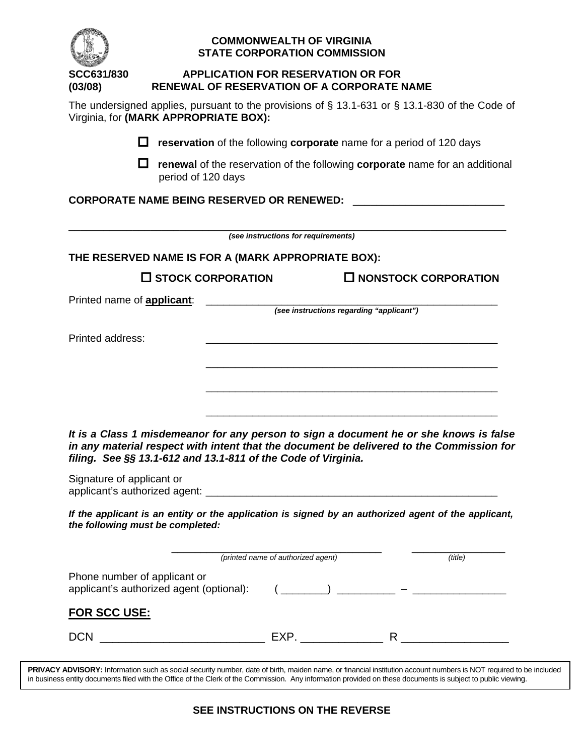| SCC631/830                         | <b>APPLICATION FOR RESERVATION OR FOR</b><br><b>RENEWAL OF RESERVATION OF A CORPORATE NAME</b>                                                                                     |                                     |                                          |                                |
|------------------------------------|------------------------------------------------------------------------------------------------------------------------------------------------------------------------------------|-------------------------------------|------------------------------------------|--------------------------------|
| (03/08)                            | The undersigned applies, pursuant to the provisions of § 13.1-631 or § 13.1-830 of the Code of<br>Virginia, for (MARK APPROPRIATE BOX):                                            |                                     |                                          |                                |
|                                    |                                                                                                                                                                                    |                                     |                                          |                                |
|                                    | reservation of the following corporate name for a period of 120 days                                                                                                               |                                     |                                          |                                |
|                                    | renewal of the reservation of the following corporate name for an additional<br>l I<br>period of 120 days                                                                          |                                     |                                          |                                |
|                                    | <b>CORPORATE NAME BEING RESERVED OR RENEWED:</b>                                                                                                                                   |                                     |                                          |                                |
|                                    |                                                                                                                                                                                    | (see instructions for requirements) |                                          |                                |
|                                    | THE RESERVED NAME IS FOR A (MARK APPROPRIATE BOX):                                                                                                                                 |                                     |                                          |                                |
|                                    | $\square$ STOCK CORPORATION                                                                                                                                                        |                                     |                                          | $\square$ NONSTOCK CORPORATION |
| Printed name of <b>applicant</b> : |                                                                                                                                                                                    |                                     | (see instructions regarding "applicant") |                                |
| <b>Printed address:</b>            |                                                                                                                                                                                    |                                     |                                          |                                |
|                                    |                                                                                                                                                                                    |                                     |                                          |                                |
|                                    |                                                                                                                                                                                    |                                     |                                          |                                |
|                                    |                                                                                                                                                                                    |                                     |                                          |                                |
|                                    |                                                                                                                                                                                    |                                     |                                          |                                |
|                                    | It is a Class 1 misdemeanor for any person to sign a document he or she knows is false<br>in any material respect with intent that the document be delivered to the Commission for |                                     |                                          |                                |
| Signature of applicant or          | filing. See §§ 13.1-612 and 13.1-811 of the Code of Virginia.                                                                                                                      |                                     |                                          |                                |
|                                    | If the applicant is an entity or the application is signed by an authorized agent of the applicant,<br>the following must be completed:                                            |                                     |                                          |                                |
|                                    |                                                                                                                                                                                    | (printed name of authorized agent)  |                                          | (title)                        |
|                                    | Phone number of applicant or                                                                                                                                                       |                                     |                                          |                                |
| <b>FOR SCC USE:</b>                |                                                                                                                                                                                    |                                     |                                          |                                |